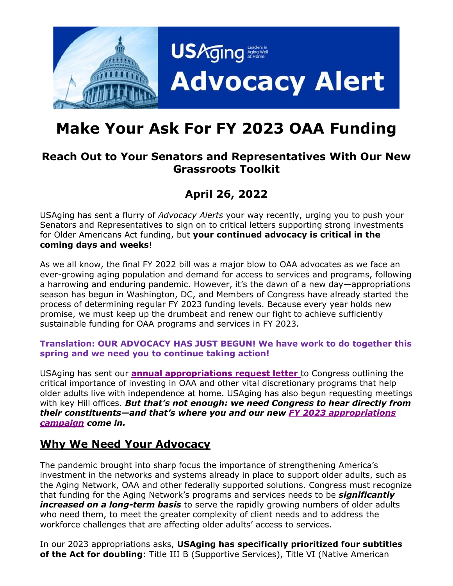

# **Make Your Ask For FY 2023 OAA Funding**

### **Reach Out to Your Senators and Representatives With Our New Grassroots Toolkit**

# **April 26, 2022**

USAging has sent a flurry of *Advocacy Alerts* your way recently, urging you to push your Senators and Representatives to sign on to critical letters supporting strong investments for Older Americans Act funding, but **your continued advocacy is critical in the coming days and weeks**!

As we all know, the final FY 2022 bill was a major blow to OAA advocates as we face an ever-growing aging population and demand for access to services and programs, following a harrowing and enduring pandemic. However, it's the dawn of a new day—appropriations season has begun in Washington, DC, and Members of Congress have already started the process of determining regular FY 2023 funding levels. Because every year holds new promise, we must keep up the drumbeat and renew our fight to achieve sufficiently sustainable funding for OAA programs and services in FY 2023.

#### **Translation: OUR ADVOCACY HAS JUST BEGUN! We have work to do together this spring and we need you to continue taking action!**

USAging has sent our **[annual appropriations request letter](https://www.usaging.org/Files/4.22.22%20USAging%20FY%202023%20Request%20Letter.pdf)** to Congress outlining the critical importance of investing in OAA and other vital discretionary programs that help older adults live with independence at home. USAging has also begun requesting meetings with key Hill offices. *But that's not enough: we need Congress to hear directly from their constituents—and that's where you and our new [FY 2023 appropriations](https://www.usaging.org/Files/2022%20April%20approps.pdf)  [campaign](https://www.usaging.org/Files/2022%20April%20approps.pdf) come in.* 

### **Why We Need Your Advocacy**

The pandemic brought into sharp focus the importance of strengthening America's investment in the networks and systems already in place to support older adults, such as the Aging Network, OAA and other federally supported solutions. Congress must recognize that funding for the Aging Network's programs and services needs to be *significantly increased on a long-term basis* to serve the rapidly growing numbers of older adults who need them, to meet the greater complexity of client needs and to address the workforce challenges that are affecting older adults' access to services.

In our 2023 appropriations asks, **USAging has specifically prioritized four subtitles of the Act for doubling**: Title III B (Supportive Services), Title VI (Native American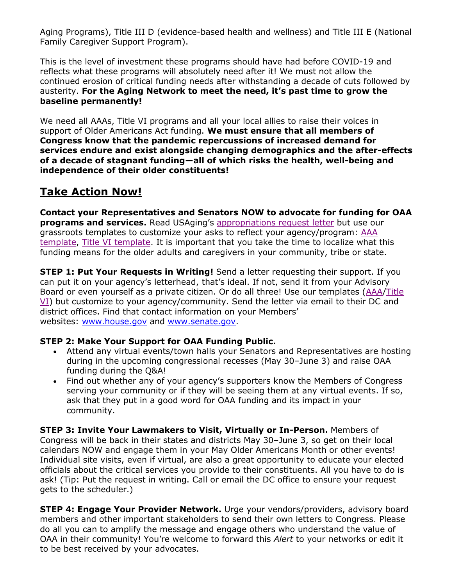Aging Programs), Title III D (evidence-based health and wellness) and Title III E (National Family Caregiver Support Program).

This is the level of investment these programs should have had before COVID-19 and reflects what these programs will absolutely need after it! We must not allow the continued erosion of critical funding needs after withstanding a decade of cuts followed by austerity. **For the Aging Network to meet the need, it's past time to grow the baseline permanently!**

We need all AAAs, Title VI programs and all your local allies to raise their voices in support of Older Americans Act funding. **We must ensure that all members of Congress know that the pandemic repercussions of increased demand for services endure and exist alongside changing demographics and the after-effects of a decade of stagnant funding—all of which risks the health, well-being and independence of their older constituents!**

## **Take Action Now!**

**Contact your Representatives and Senators NOW to advocate for funding for OAA programs and services.** Read USAging's [appropriations request letter](https://www.usaging.org/Files/4.22.22%20USAging%20FY%202023%20Request%20Letter.pdf) but use our grassroots templates to customize your asks to reflect your agency/program: [AAA](https://www.usaging.org/Files/AAA%20Template%20Letter%20for%20FY%202023%20Approps%20Requests.docx)  [template,](https://www.usaging.org/Files/AAA%20Template%20Letter%20for%20FY%202023%20Approps%20Requests.docx) [Title VI template.](https://www.usaging.org/Files/Title%20VI%20Template%20Letter%20for%20FY%202023%20Approps%20Requests.docx) It is important that you take the time to localize what this funding means for the older adults and caregivers in your community, tribe or state.

**STEP 1: Put Your Requests in Writing!** Send a letter requesting their support. If you can put it on your agency's letterhead, that's ideal. If not, send it from your Advisory Board or even yourself as a private citizen. Or do all three! Use our templates [\(AAA](https://www.usaging.org/Files/AAA%20Template%20Letter%20for%20FY%202023%20Approps%20Requests.docx)[/Title](https://www.usaging.org/Files/Title%20VI%20Template%20Letter%20for%20FY%202023%20Approps%20Requests.docx)  [VI\)](https://www.usaging.org/Files/Title%20VI%20Template%20Letter%20for%20FY%202023%20Approps%20Requests.docx) but customize to your agency/community. Send the letter via email to their DC and district offices. Find that contact information on your Members' websites: [www.house.gov](https://www.house.gov/) and [www.senate.gov.](https://www.senate.gov/)

#### **STEP 2: Make Your Support for OAA Funding Public.**

- Attend any virtual events/town halls your Senators and Representatives are hosting during in the upcoming congressional recesses (May 30–June 3) and raise OAA funding during the Q&A!
- Find out whether any of your agency's supporters know the Members of Congress serving your community or if they will be seeing them at any virtual events. If so, ask that they put in a good word for OAA funding and its impact in your community.

**STEP 3: Invite Your Lawmakers to Visit, Virtually or In-Person.** Members of Congress will be back in their states and districts May 30–June 3, so get on their local calendars NOW and engage them in your May Older Americans Month or other events! Individual site visits, even if virtual, are also a great opportunity to educate your elected officials about the critical services you provide to their constituents. All you have to do is ask! (Tip: Put the request in writing. Call or email the DC office to ensure your request gets to the scheduler.)

**STEP 4: Engage Your Provider Network.** Urge your vendors/providers, advisory board members and other important stakeholders to send their own letters to Congress. Please do all you can to amplify the message and engage others who understand the value of OAA in their community! You're welcome to forward this *Alert* to your networks or edit it to be best received by your advocates.